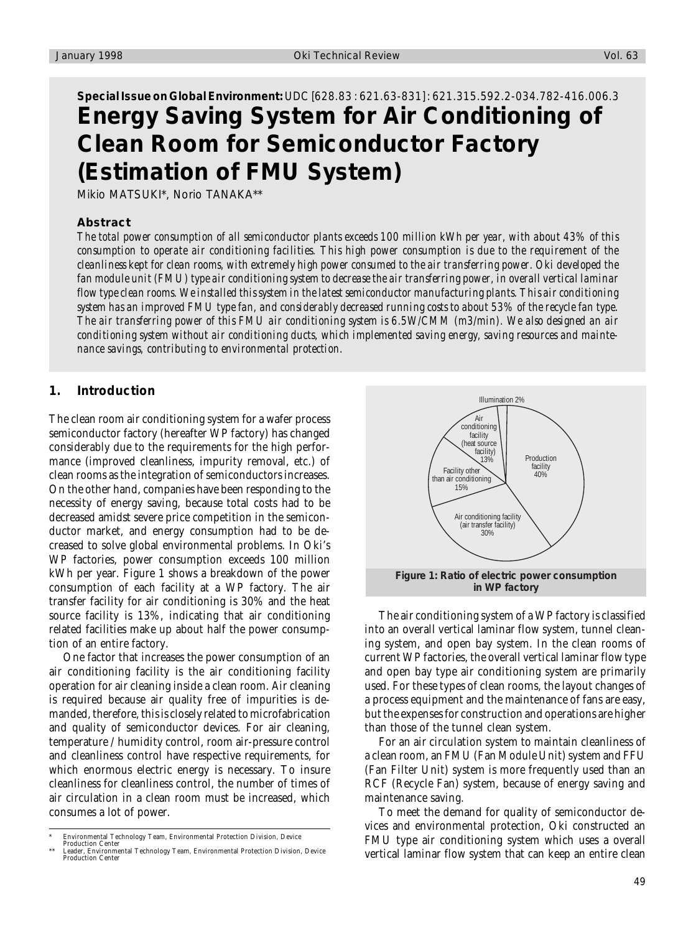# **Special Issue on Global Environment:** UDC [628.83 : 621.63-831] : 621.315.592.2-034.782-416.006.3 **Energy Saving System for Air Conditioning of Clean Room for Semiconductor Factory (Estimation of FMU System)**

Mikio MATSUKI\*, Norio TANAKA\*\*

#### **Abstract**

*The total power consumption of all semiconductor plants exceeds 100 million kWh per year, with about 43% of this consumption to operate air conditioning facilities. This high power consumption is due to the requirement of the cleanliness kept for clean rooms, with extremely high power consumed to the air transferring power. Oki developed the fan module unit (FMU) type air conditioning system to decrease the air transferring power, in overall vertical laminar flow type clean rooms. We installed this system in the latest semiconductor manufacturing plants. This air conditioning system has an improved FMU type fan, and considerably decreased running costs to about 53% of the recycle fan type. The air transferring power of this FMU air conditioning system is 6.5W/CMM (m3/min). We also designed an air conditioning system without air conditioning ducts, which implemented saving energy, saving resources and maintenance savings, contributing to environmental protection.*

### **1. Introduction**

The clean room air conditioning system for a wafer process semiconductor factory (hereafter WP factory) has changed considerably due to the requirements for the high performance (improved cleanliness, impurity removal, etc.) of clean rooms as the integration of semiconductors increases. On the other hand, companies have been responding to the necessity of energy saving, because total costs had to be decreased amidst severe price competition in the semiconductor market, and energy consumption had to be decreased to solve global environmental problems. In Oki's WP factories, power consumption exceeds 100 million kWh per year. Figure 1 shows a breakdown of the power consumption of each facility at a WP factory. The air transfer facility for air conditioning is 30% and the heat source facility is 13%, indicating that air conditioning related facilities make up about half the power consumption of an entire factory.

One factor that increases the power consumption of an air conditioning facility is the air conditioning facility operation for air cleaning inside a clean room. Air cleaning is required because air quality free of impurities is demanded, therefore, this is closely related to microfabrication and quality of semiconductor devices. For air cleaning, temperature / humidity control, room air-pressure control and cleanliness control have respective requirements, for which enormous electric energy is necessary. To insure cleanliness for cleanliness control, the number of times of air circulation in a clean room must be increased, which consumes a lot of power.



The air conditioning system of a WP factory is classified into an overall vertical laminar flow system, tunnel cleaning system, and open bay system. In the clean rooms of current WP factories, the overall vertical laminar flow type and open bay type air conditioning system are primarily used. For these types of clean rooms, the layout changes of a process equipment and the maintenance of fans are easy, but the expenses for construction and operations are higher than those of the tunnel clean system.

For an air circulation system to maintain cleanliness of a clean room, an FMU (Fan Module Unit) system and FFU (Fan Filter Unit) system is more frequently used than an RCF (Recycle Fan) system, because of energy saving and maintenance saving.

To meet the demand for quality of semiconductor devices and environmental protection, Oki constructed an FMU type air conditioning system which uses a overall vertical laminar flow system that can keep an entire clean

<sup>\*</sup> Environmental Technology Team, Environmental Protection Division, Device

Production Center \*\* Leader, Environmental Technology Team, Environmental Protection Division, Device Production Center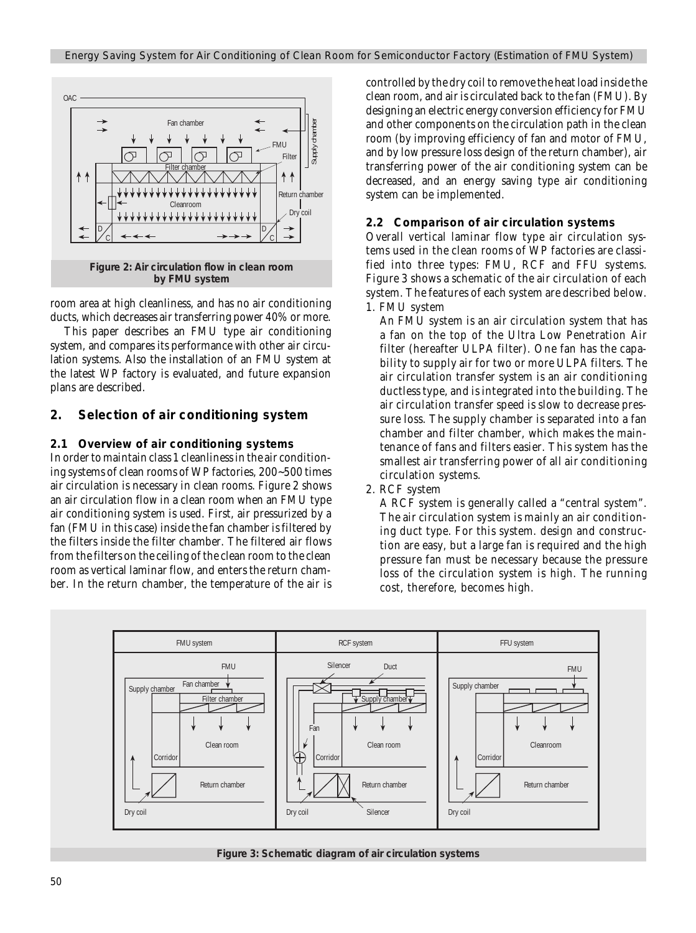

**by FMU system**

room area at high cleanliness, and has no air conditioning ducts, which decreases air transferring power 40% or more.

This paper describes an FMU type air conditioning system, and compares its performance with other air circulation systems. Also the installation of an FMU system at the latest WP factory is evaluated, and future expansion plans are described.

# **2. Selection of air conditioning system**

#### **2.1 Overview of air conditioning systems**

In order to maintain class 1 cleanliness in the air conditioning systems of clean rooms of WP factories, 200~500 times air circulation is necessary in clean rooms. Figure 2 shows an air circulation flow in a clean room when an FMU type air conditioning system is used. First, air pressurized by a fan (FMU in this case) inside the fan chamber is filtered by the filters inside the filter chamber. The filtered air flows from the filters on the ceiling of the clean room to the clean room as vertical laminar flow, and enters the return chamber. In the return chamber, the temperature of the air is

controlled by the dry coil to remove the heat load inside the clean room, and air is circulated back to the fan (FMU). By designing an electric energy conversion efficiency for FMU and other components on the circulation path in the clean room (by improving efficiency of fan and motor of FMU, and by low pressure loss design of the return chamber), air transferring power of the air conditioning system can be decreased, and an energy saving type air conditioning system can be implemented.

#### **2.2 Comparison of air circulation systems**

Overall vertical laminar flow type air circulation systems used in the clean rooms of WP factories are classified into three types: FMU, RCF and FFU systems. Figure 3 shows a schematic of the air circulation of each system. The features of each system are described below. 1. FMU system

An FMU system is an air circulation system that has a fan on the top of the Ultra Low Penetration Air filter (hereafter ULPA filter). One fan has the capability to supply air for two or more ULPA filters. The air circulation transfer system is an air conditioning ductless type, and is integrated into the building. The air circulation transfer speed is slow to decrease pressure loss. The supply chamber is separated into a fan chamber and filter chamber, which makes the maintenance of fans and filters easier. This system has the smallest air transferring power of all air conditioning circulation systems.

2. RCF system

A RCF system is generally called a "central system". The air circulation system is mainly an air conditioning duct type. For this system. design and construction are easy, but a large fan is required and the high pressure fan must be necessary because the pressure loss of the circulation system is high. The running cost, therefore, becomes high.



**Figure 3: Schematic diagram of air circulation systems**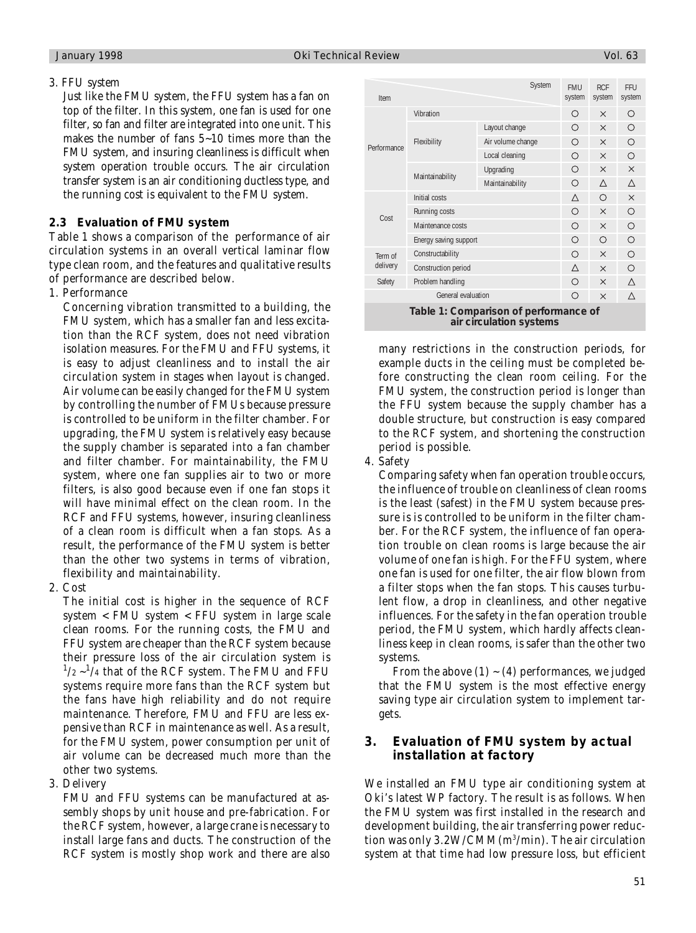#### 3. FFU system

Just like the FMU system, the FFU system has a fan on top of the filter. In this system, one fan is used for one filter, so fan and filter are integrated into one unit. This makes the number of fans 5~10 times more than the FMU system, and insuring cleanliness is difficult when system operation trouble occurs. The air circulation transfer system is an air conditioning ductless type, and the running cost is equivalent to the FMU system.

### **2.3 Evaluation of FMU system**

Table 1 shows a comparison of the performance of air circulation systems in an overall vertical laminar flow type clean room, and the features and qualitative results of performance are described below.

### 1. Performance

Concerning vibration transmitted to a building, the FMU system, which has a smaller fan and less excitation than the RCF system, does not need vibration isolation measures. For the FMU and FFU systems, it is easy to adjust cleanliness and to install the air circulation system in stages when layout is changed. Air volume can be easily changed for the FMU system by controlling the number of FMUs because pressure is controlled to be uniform in the filter chamber. For upgrading, the FMU system is relatively easy because the supply chamber is separated into a fan chamber and filter chamber. For maintainability, the FMU system, where one fan supplies air to two or more filters, is also good because even if one fan stops it will have minimal effect on the clean room. In the RCF and FFU systems, however, insuring cleanliness of a clean room is difficult when a fan stops. As a result, the performance of the FMU system is better than the other two systems in terms of vibration, flexibility and maintainability.

2. Cost

The initial cost is higher in the sequence of RCF system < FMU system < FFU system in large scale clean rooms. For the running costs, the FMU and FFU system are cheaper than the RCF system because their pressure loss of the air circulation system is  $^{1}/_{2}$   $\sim$   $^{1}/_{4}$  that of the RCF system. The FMU and FFU systems require more fans than the RCF system but the fans have high reliability and do not require maintenance. Therefore, FMU and FFU are less expensive than RCF in maintenance as well. As a result, for the FMU system, power consumption per unit of air volume can be decreased much more than the other two systems.

3. Delivery

FMU and FFU systems can be manufactured at assembly shops by unit house and pre-fabrication. For the RCF system, however, a large crane is necessary to install large fans and ducts. The construction of the RCF system is mostly shop work and there are also

| Item                                                             |                       | System            | <b>FMU</b><br>system | <b>RCF</b><br>system | FFU<br>system |  |  |
|------------------------------------------------------------------|-----------------------|-------------------|----------------------|----------------------|---------------|--|--|
|                                                                  | Vibration             |                   | Ω                    | $\times$             | ∩             |  |  |
|                                                                  | Flexibility           | Layout change     | ∩                    | $\times$             | O             |  |  |
| Performance                                                      |                       | Air volume change | ∩                    | $\times$             | $\circ$       |  |  |
|                                                                  |                       | Local cleaning    | ∩                    | $\times$             | $\bigcirc$    |  |  |
|                                                                  | Maintainability       | Upgrading         | ∩                    | $\times$             | $\times$      |  |  |
|                                                                  |                       | Maintainability   | ∩                    | Λ                    | Δ             |  |  |
| Cost                                                             | Initial costs         |                   | Δ                    | $\bigcirc$           | $\times$      |  |  |
|                                                                  | Running costs         |                   | О                    | $\times$             | O             |  |  |
|                                                                  | Maintenance costs     |                   | Ω                    | $\times$             | $\circ$       |  |  |
|                                                                  | Energy saving support |                   | Ω                    | Ω                    | O             |  |  |
| Term of<br>delivery                                              | Constructability      |                   | $\bigcirc$           | $\times$             | O             |  |  |
|                                                                  | Construction period   |                   | Δ                    | $\times$             | $\circ$       |  |  |
| Safety                                                           | Problem handling      |                   | ∩                    | $\times$             | Δ             |  |  |
| General evaluation                                               |                       |                   | ∩                    | $\times$             | Λ             |  |  |
| Table 1: Comparison of performance of<br>air circulation systems |                       |                   |                      |                      |               |  |  |

many restrictions in the construction periods, for example ducts in the ceiling must be completed before constructing the clean room ceiling. For the FMU system, the construction period is longer than the FFU system because the supply chamber has a double structure, but construction is easy compared to the RCF system, and shortening the construction period is possible.

4. Safety

Comparing safety when fan operation trouble occurs, the influence of trouble on cleanliness of clean rooms is the least (safest) in the FMU system because pressure is is controlled to be uniform in the filter chamber. For the RCF system, the influence of fan operation trouble on clean rooms is large because the air volume of one fan is high. For the FFU system, where one fan is used for one filter, the air flow blown from a filter stops when the fan stops. This causes turbulent flow, a drop in cleanliness, and other negative influences. For the safety in the fan operation trouble period, the FMU system, which hardly affects cleanliness keep in clean rooms, is safer than the other two systems.

From the above  $(1)$  ~  $(4)$  performances, we judged that the FMU system is the most effective energy saving type air circulation system to implement targets.

# **3. Evaluation of FMU system by actual installation at factory**

We installed an FMU type air conditioning system at Oki's latest WP factory. The result is as follows. When the FMU system was first installed in the research and development building, the air transferring power reduction was only 3.2W/CMM(m3 /min). The air circulation system at that time had low pressure loss, but efficient